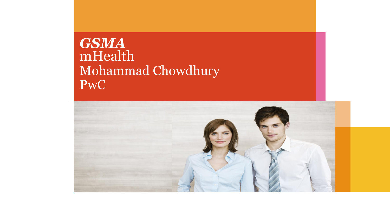## *GSMA* mHealth Mohammad Chowdhury PwC

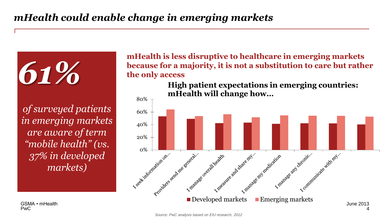*of surveyed patients in emerging markets are aware of term "mobile health" (vs. 37% in developed markets)*

*61%*

**mHealth is less disruptive to healthcare in emerging markets because for a majority, it is not a substitution to care but rather the only access**

> **High patient expectations in emerging countries: mHealth will change how…**



PwC GSMA • mHealth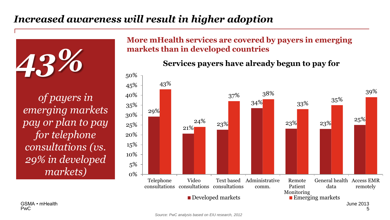## *Increased awareness will result in higher adoption*

*of payers in emerging markets pay or plan to pay for telephone consultations (vs. 29% in developed markets)*

#### **More mHealth services are covered by payers in emerging markets than in developed countries** *43%*



#### **Services payers have already begun to pay for**

PwC GSMA • mHealth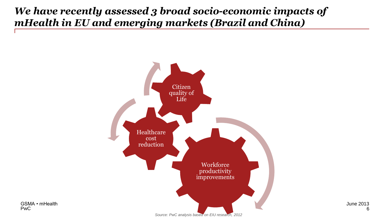## *We have recently assessed 3 broad socio-economic impacts of mHealth in EU and emerging markets (Brazil and China)*



June 2013 6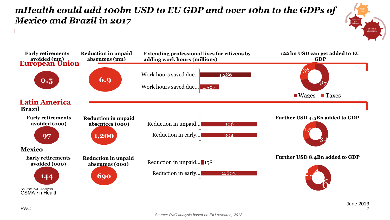*mHealth could add 100bn USD to EU GDP and over 10bn to the GDPs of Mexico and Brazil in 2017*



**Workforce** productivity improvements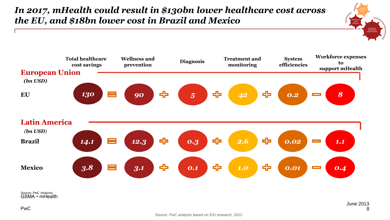### *In 2017, mHealth could result in \$130bn lower healthcare cost across the EU, and \$18bn lower cost in Brazil and Mexico*



GSMA • mHealth Source: PwC Analysis

**Workforce** productivity improvements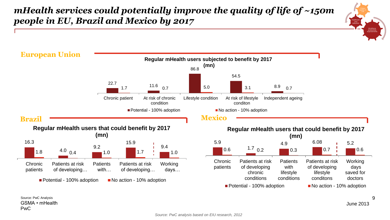#### *mHealth services could potentially improve the quality of life of ~150m people in EU, Brazil and Mexico by 2017*



PwC GSMA • mHealth Source: PwC Analysis

June 2013

**Workforce** productivity improvements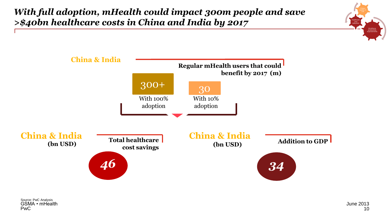*With full adoption, mHealth could impact 300m people and save >\$40bn healthcare costs in China and India by 2017*



**Workforce** productivity improvements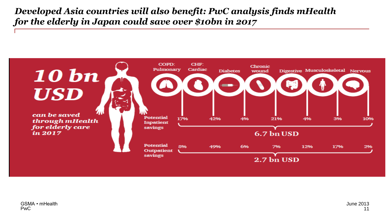#### *Developed Asia countries will also benefit: PwC analysis finds mHealth for the elderly in Japan could save over \$10bn in 2017*